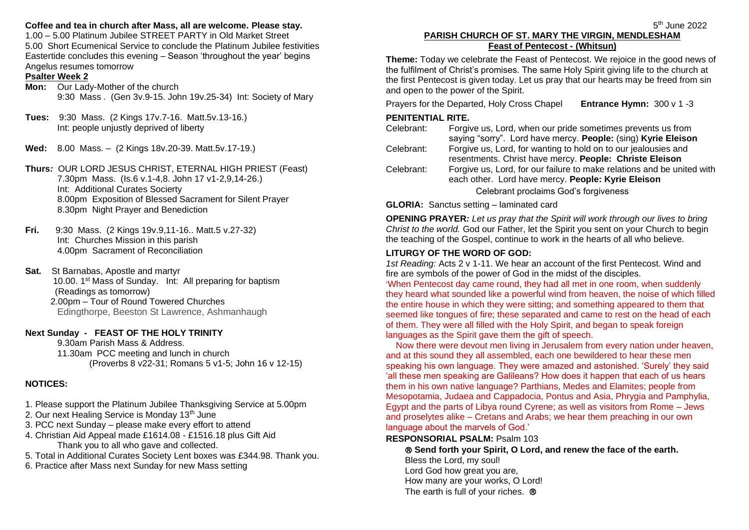### **Coffee and tea in church after Mass, all are welcome. Please stay.**

1.00 – 5.00 Platinum Jubilee STREET PARTY in Old Market Street 5.00 Short Ecumenical Service to conclude the Platinum Jubilee festivities Eastertide concludes this evening – Season 'throughout the year' begins Angelus resumes tomorrow

#### **Psalter Week 2**

**Mon:** Our Lady-Mother of the church 9:30 Mass . (Gen 3v.9-15. John 19v.25-34) Int: Society of Mary

- **Tues:** 9:30 Mass. (2 Kings 17v.7-16. Matt.5v.13-16.) Int: people unjustly deprived of liberty
- **Wed:** 8.00 Mass. (2 Kings 18v.20-39. Matt.5v.17-19.)
- **Thurs***:* OUR LORD JESUS CHRIST, ETERNAL HIGH PRIEST (Feast) 7.30pm Mass. (Is.6 v.1-4,8. John 17 v1-2,9,14-26.) Int: Additional Curates Socierty 8.00pm Exposition of Blessed Sacrament for Silent Prayer 8.30pm Night Prayer and Benediction
- **Fri.** 9:30 Mass. (2 Kings 19v.9,11-16.. Matt.5 v.27-32) Int: Churches Mission in this parish 4.00pm Sacrament of Reconciliation
- **Sat***.* St Barnabas, Apostle and martyr 10.00. 1st Mass of Sunday. Int: All preparing for baptism (Readings as tomorrow) 2.00pm – Tour of Round Towered Churches Edingthorpe, Beeston St Lawrence, Ashmanhaugh

### **Next Sunday** *-* **FEAST OF THE HOLY TRINITY**

9.30am Parish Mass & Address. 11.30am PCC meeting and lunch in church (Proverbs 8 v22-31; Romans 5 v1-5; John 16 v 12-15)

## **NOTICES:**

- 1. Please support the Platinum Jubilee Thanksgiving Service at 5.00pm
- 2. Our next Healing Service is Monday 13<sup>th</sup> June
- 3. PCC next Sunday please make every effort to attend
- 4. Christian Aid Appeal made £1614.08 £1516.18 plus Gift Aid Thank you to all who gave and collected.
- 5. Total in Additional Curates Society Lent boxes was £344.98. Thank you.
- 6. Practice after Mass next Sunday for new Mass setting

#### the contract of the contract of the contract of the contract of the contract of the contract of the contract o **PARISH CHURCH OF ST. MARY THE VIRGIN, MENDLESHAM Feast of Pentecost - (Whitsun)**

**Theme:** Today we celebrate the Feast of Pentecost. We rejoice in the good news of the fulfilment of Christ's promises. The same Holy Spirit giving life to the church at the first Pentecost is given today. Let us pray that our hearts may be freed from sin and open to the power of the Spirit.

Prayers for the Departed, Holy Cross Chapel **Entrance Hymn:** 300 v 1 -3

# **PENITENTIAL RITE.**

Celebrant: Forgive us, Lord, when our pride sometimes prevents us from saying "sorry". Lord have mercy. **People:** (sing) **Kyrie Eleison** Celebrant: Forgive us, Lord, for wanting to hold on to our jealousies and resentments. Christ have mercy. **People: Christe Eleison** Celebrant: Forgive us, Lord, for our failure to make relations and be united with each other. Lord have mercy. **People: Kyrie Eleison** Celebrant proclaims God's forgiveness

**GLORIA:** Sanctus setting – laminated card

**OPENING PRAYER***: Let us pray that the Spirit will work through our lives to bring Christ to the world.* God our Father, let the Spirit you sent on your Church to begin the teaching of the Gospel, continue to work in the hearts of all who believe.

## **LITURGY OF THE WORD OF GOD:**

*1st Reading:* Acts 2 v 1-11. We hear an account of the first Pentecost. Wind and fire are symbols of the power of God in the midst of the disciples.

'When Pentecost day came round, they had all met in one room, when suddenly they heard what sounded like a powerful wind from heaven, the noise of which filled the entire house in which they were sitting; and something appeared to them that seemed like tongues of fire; these separated and came to rest on the head of each of them. They were all filled with the Holy Spirit, and began to speak foreign languages as the Spirit gave them the gift of speech.

 Now there were devout men living in Jerusalem from every nation under heaven, and at this sound they all assembled, each one bewildered to hear these men speaking his own language. They were amazed and astonished. 'Surely' they said 'all these men speaking are Galileans? How does it happen that each of us hears them in his own native language? Parthians, Medes and Elamites; people from Mesopotamia, Judaea and Cappadocia, Pontus and Asia, Phrygia and Pamphylia, Egypt and the parts of Libya round Cyrene; as well as visitors from Rome – Jews and proselytes alike – Cretans and Arabs; we hear them preaching in our own language about the marvels of God.'

### **RESPONSORIAL PSALM:** Psalm 103

 **Send forth your Spirit, O Lord, and renew the face of the earth.** Bless the Lord, my soul! Lord God how great you are, How many are your works, O Lord! The earth is full of your riches. ®